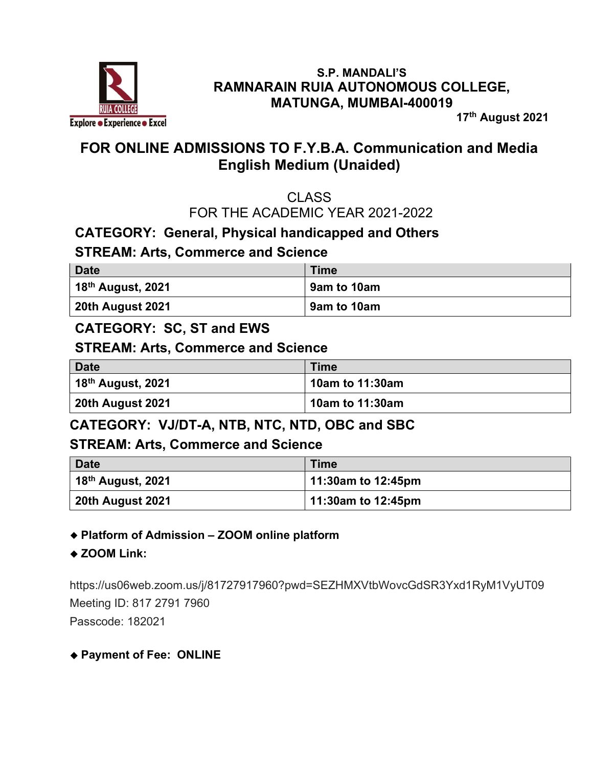

#### S.P. MANDALI'S RAMNARAIN RUIA AUTONOMOUS COLLEGE, MATUNGA, MUMBAI-400019

17th August 2021

# FOR ONLINE ADMISSIONS TO F.Y.B.A. Communication and Media English Medium (Unaided)

### CLASS FOR THE ACADEMIC YEAR 2021-2022

### CATEGORY: General, Physical handicapped and Others

### STREAM: Arts, Commerce and Science

| <b>Date</b>                   | <b>Time</b> |
|-------------------------------|-------------|
| 18 <sup>th</sup> August, 2021 | 9am to 10am |
| 20th August 2021              | 9am to 10am |

### CATEGORY: SC, ST and EWS

#### STREAM: Arts, Commerce and Science

| Date                                  | <b>Time</b>     |
|---------------------------------------|-----------------|
| $\vert$ 18 <sup>th</sup> August, 2021 | 10am to 11:30am |
| 20th August 2021                      | 10am to 11:30am |

### CATEGORY: VJ/DT-A, NTB, NTC, NTD, OBC and SBC

#### STREAM: Arts, Commerce and Science

| <b>Date</b>                           | <b>Time</b>        |
|---------------------------------------|--------------------|
| $\vert$ 18 <sup>th</sup> August, 2021 | 11:30am to 12:45pm |
| 20th August 2021                      | 11:30am to 12:45pm |

#### Platform of Admission – ZOOM online platform

#### ◆ ZOOM Link:

https://us06web.zoom.us/j/81727917960?pwd=SEZHMXVtbWovcGdSR3Yxd1RyM1VyUT09 Meeting ID: 817 2791 7960 Passcode: 182021

#### Payment of Fee: ONLINE